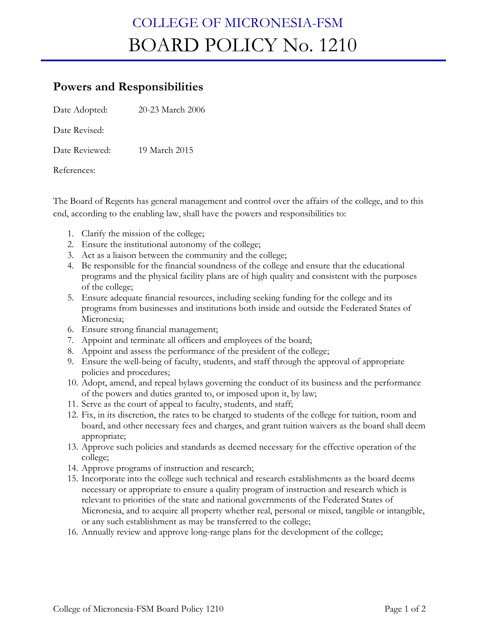## COLLEGE OF MICRONESIA-FSM BOARD POLICY No. 1210

## **Powers and Responsibilities**

Date Adopted: 20-23 March 2006

Date Revised:

Date Reviewed: 19 March 2015

References:

The Board of Regents has general management and control over the affairs of the college, and to this end, according to the enabling law, shall have the powers and responsibilities to:

- 1. Clarify the mission of the college;
- 2. Ensure the institutional autonomy of the college;
- 3. Act as a liaison between the community and the college;
- 4. Be responsible for the financial soundness of the college and ensure that the educational programs and the physical facility plans are of high quality and consistent with the purposes of the college;
- 5. Ensure adequate financial resources, including seeking funding for the college and its programs from businesses and institutions both inside and outside the Federated States of Micronesia;
- 6. Ensure strong financial management;
- 7. Appoint and terminate all officers and employees of the board;
- 8. Appoint and assess the performance of the president of the college;
- 9. Ensure the well-being of faculty, students, and staff through the approval of appropriate policies and procedures;
- 10. Adopt, amend, and repeal bylaws governing the conduct of its business and the performance of the powers and duties granted to, or imposed upon it, by law;
- 11. Serve as the court of appeal to faculty, students, and staff;
- 12. Fix, in its discretion, the rates to be charged to students of the college for tuition, room and board, and other necessary fees and charges, and grant tuition waivers as the board shall deem appropriate;
- 13. Approve such policies and standards as deemed necessary for the effective operation of the college;
- 14. Approve programs of instruction and research;
- 15. Incorporate into the college such technical and research establishments as the board deems necessary or appropriate to ensure a quality program of instruction and research which is relevant to priorities of the state and national governments of the Federated States of Micronesia, and to acquire all property whether real, personal or mixed, tangible or intangible, or any such establishment as may be transferred to the college;
- 16. Annually review and approve long-range plans for the development of the college;